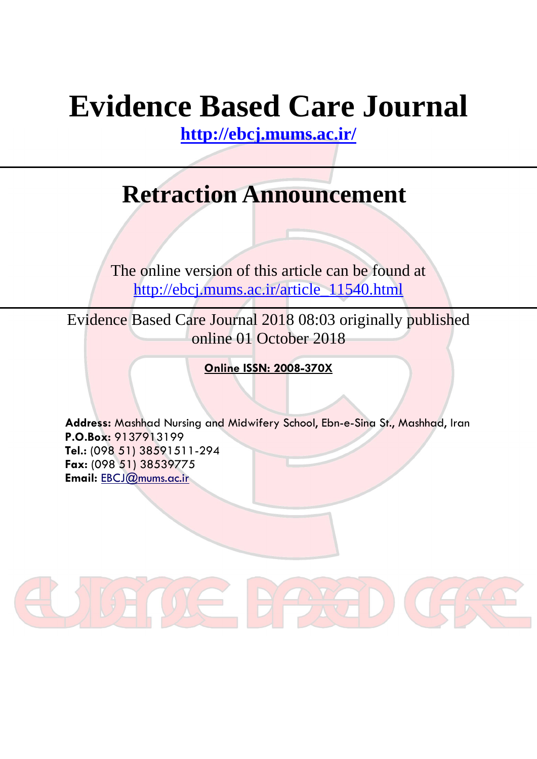# **Evidence Based Care Journal**

**<http://ebcj.mums.ac.ir/>**

## **Retraction Announcement**

The online version of this article can be found at http://ebcj.mums.ac.ir/article\_11540.html

Evidence Based Care Journal 2018 08:03 originally published online 01 October 2018

**Online ISSN: 2008-370X**

**Address:** Mashhad Nursing and Midwifery School, Ebn-e-Sina St., Mashhad, Iran **P.O.Box:** 9137913199 **Tel.:** (098 51) 38591511-294 **Fax:** (098 51) 38539775 **Email:** [EBCJ@mums.ac.ir](mailto:EBCJ@mums.ac.ir)

ME PAXE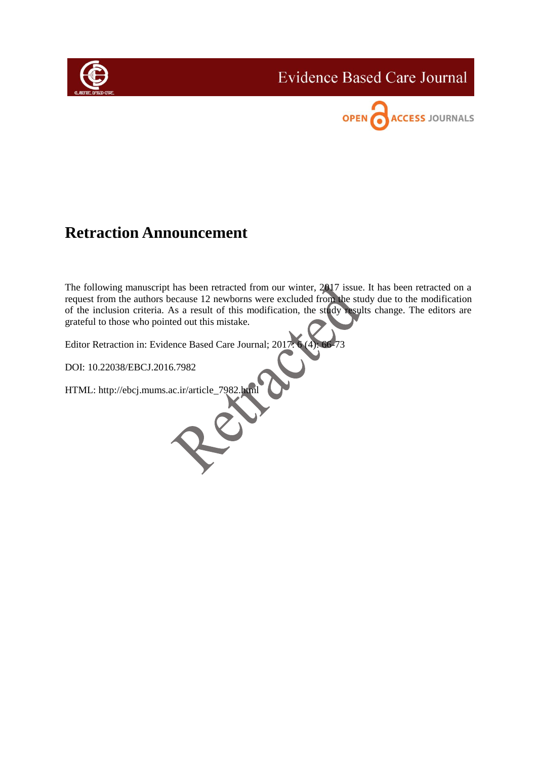

**Evidence Based Care Journal** 



## **Retraction Announcement**

The following manuscript has been retracted from our winter, 2017 issue. It has been retracted on a request from the authors because 12 newborns were excluded from the study due to the modification of the inclusion criteria. As a result of this modification, the study results change. The editors are grateful to those who pointed out this mistake.

Editor Retraction in: Evidence Based Care Journal; 2017: 6 (4): 66-73

DOI: 10.22038/EBCJ.2016.7982

HTML: [http://ebcj.mums.ac.ir/article\\_7982.html](http://ebcj.mums.ac.ir/article_7982.html)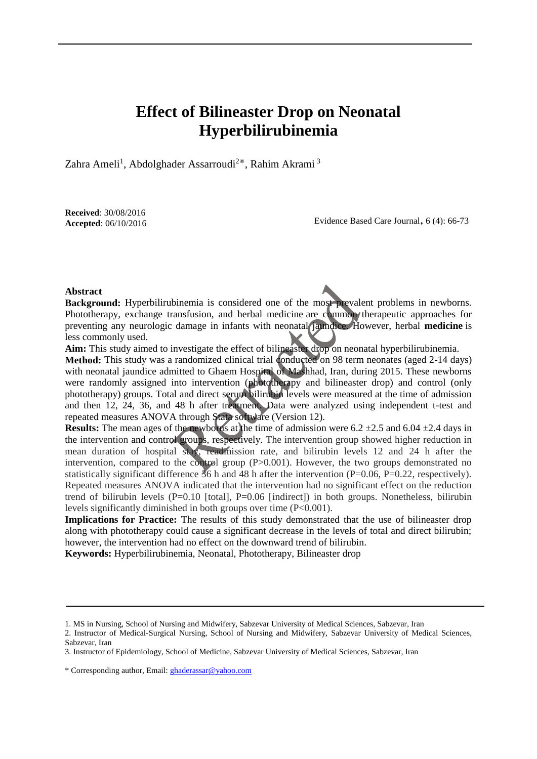### **Effect of Bilineaster Drop on Neonatal Hyperbilirubinemia**

Zahra Ameli<sup>1</sup>, Abdolghader Assarroudi<sup>2\*</sup>, Rahim Akrami<sup>3</sup>

**Received**: 30/08/2016 **Accepted**: 06/10/2016

Evidence Based Care Journal, 6 (4): 66-73

#### **Abstract**

**Background:** Hyperbilirubinemia is considered one of the most prevalent problems in newborns. Phototherapy, exchange transfusion, and herbal medicine are common therapeutic approaches for preventing any neurologic damage in infants with neonatal jaundice. However, herbal **medicine** is less commonly used.

**Aim:** This study aimed to investigate the effect of bilineaster drop on neonatal hyperbilirubinemia.

Method: This study was a randomized clinical trial conducted on 98 term neonates (aged 2-14 days) with neonatal jaundice admitted to Ghaem Hospital of Mashhad, Iran, during 2015. These newborns were randomly assigned into intervention (phototherapy and bilineaster drop) and control (only phototherapy) groups. Total and direct serum bilirubin levels were measured at the time of admission and then 12, 24, 36, and 48 h after treatment. Data were analyzed using independent t-test and repeated measures ANOVA through Stata software (Version 12).

**Results:** The mean ages of the newborns at the time of admission were  $6.2 \pm 2.5$  and  $6.04 \pm 2.4$  days in the intervention and control groups, respectively. The intervention group showed higher reduction in mean duration of hospital stay, readmission rate, and bilirubin levels 12 and 24 h after the intervention, compared to the control group (P>0.001). However, the two groups demonstrated no statistically significant difference 36 h and 48 h after the intervention (P=0.06, P=0.22, respectively). Repeated measures ANOVA indicated that the intervention had no significant effect on the reduction trend of bilirubin levels (P=0.10 [total], P=0.06 [indirect]) in both groups. Nonetheless, bilirubin levels significantly diminished in both groups over time (P<0.001).

**Implications for Practice:** The results of this study demonstrated that the use of bilineaster drop along with phototherapy could cause a significant decrease in the levels of total and direct bilirubin; however, the intervention had no effect on the downward trend of bilirubin.

**Keywords:** Hyperbilirubinemia, Neonatal, Phototherapy, Bilineaster drop

<sup>1.</sup> MS in Nursing, School of Nursing and Midwifery, Sabzevar University of Medical Sciences, Sabzevar, Iran

<sup>2.</sup> Instructor of Medical-Surgical Nursing, School of Nursing and Midwifery, Sabzevar University of Medical Sciences, Sabzevar, Iran

<sup>3.</sup> Instructor of Epidemiology, School of Medicine, Sabzevar University of Medical Sciences, Sabzevar, Iran

<sup>\*</sup> Corresponding author, Email[: ghaderassar@yahoo.com](mailto:ghaderassar@yahoo.com)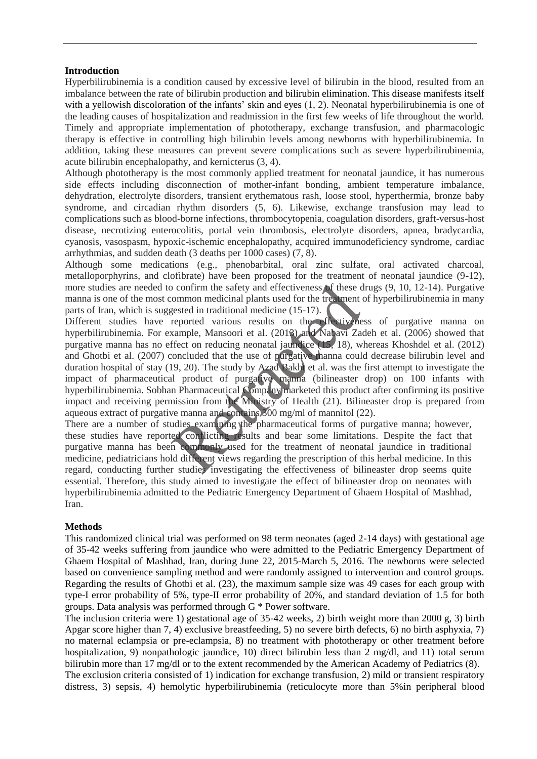#### **Introduction**

Hyperbilirubinemia is a condition caused by excessive level of bilirubin in the blood, resulted from an imbalance between the rate of bilirubin production and bilirubin elimination. This disease manifests itself with a yellowish discoloration of the infants' skin and eyes (1, 2). Neonatal hyperbilirubinemia is one of the leading causes of hospitalization and readmission in the first few weeks of life throughout the world. Timely and appropriate implementation of phototherapy, exchange transfusion, and pharmacologic therapy is effective in controlling high bilirubin levels among newborns with hyperbilirubinemia. In addition, taking these measures can prevent severe complications such as severe hyperbilirubinemia, acute bilirubin encephalopathy, and kernicterus (3, 4).

Although phototherapy is the most commonly applied treatment for neonatal jaundice, it has numerous side effects including disconnection of mother-infant bonding, ambient temperature imbalance, dehydration, electrolyte disorders, transient erythematous rash, loose stool, hyperthermia, bronze baby syndrome, and circadian rhythm disorders (5, 6). Likewise, exchange transfusion may lead to complications such as blood-borne infections, thrombocytopenia, coagulation disorders, graft-versus-host disease, necrotizing enterocolitis, portal vein thrombosis, electrolyte disorders, apnea, bradycardia, cyanosis, vasospasm, hypoxic-ischemic encephalopathy, acquired immunodeficiency syndrome, cardiac arrhythmias, and sudden death (3 deaths per 1000 cases) (7, 8).

Although some medications (e.g., phenobarbital, oral zinc sulfate, oral activated charcoal, metalloporphyrins, and clofibrate) have been proposed for the treatment of neonatal jaundice (9-12), more studies are needed to confirm the safety and effectiveness of these drugs (9, 10, 12-14). Purgative manna is one of the most common medicinal plants used for the treatment of hyperbilirubinemia in many parts of Iran, which is suggested in traditional medicine (15-17).

Different studies have reported various results on the effectiveness of purgative manna on hyperbilirubinemia. For example, Mansoori et al. (2013) and Nabavi Zadeh et al. (2006) showed that purgative manna has no effect on reducing neonatal jaundice (15, 18), whereas Khoshdel et al. (2012) and Ghotbi et al. (2007) concluded that the use of purgative manna could decrease bilirubin level and duration hospital of stay (19, 20). The study by Azad Bakht et al. was the first attempt to investigate the impact of pharmaceutical product of purgative manna (bilineaster drop) on 100 infants with hyperbilirubinemia. Sobhan Pharmaceutical Company marketed this product after confirming its positive impact and receiving permission from the Ministry of Health (21). Bilineaster drop is prepared from aqueous extract of purgative manna and contains 300 mg/ml of mannitol (22).

There are a number of studies examining the pharmaceutical forms of purgative manna; however, these studies have reported conflicting results and bear some limitations. Despite the fact that purgative manna has been commonly used for the treatment of neonatal jaundice in traditional medicine, pediatricians hold different views regarding the prescription of this herbal medicine. In this regard, conducting further studies investigating the effectiveness of bilineaster drop seems quite essential. Therefore, this study aimed to investigate the effect of bilineaster drop on neonates with hyperbilirubinemia admitted to the Pediatric Emergency Department of Ghaem Hospital of Mashhad, Iran.

#### **Methods**

This randomized clinical trial was performed on 98 term neonates (aged 2-14 days) with gestational age of 35-42 weeks suffering from jaundice who were admitted to the Pediatric Emergency Department of Ghaem Hospital of Mashhad, Iran, during June 22, 2015-March 5, 2016. The newborns were selected based on convenience sampling method and were randomly assigned to intervention and control groups. Regarding the results of Ghotbi et al. (23), the maximum sample size was 49 cases for each group with type-I error probability of 5%, type-II error probability of 20%, and standard deviation of 1.5 for both groups. Data analysis was performed through G \* Power software.

The inclusion criteria were 1) gestational age of 35-42 weeks, 2) birth weight more than 2000 g, 3) birth Apgar score higher than 7, 4) exclusive breastfeeding, 5) no severe birth defects, 6) no birth asphyxia, 7) no maternal eclampsia or pre-eclampsia, 8) no treatment with phototherapy or other treatment before hospitalization, 9) nonpathologic jaundice, 10) direct bilirubin less than 2 mg/dl, and 11) total serum bilirubin more than 17 mg/dl or to the extent recommended by the American Academy of Pediatrics (8).

The exclusion criteria consisted of 1) indication for exchange transfusion, 2) mild or transient respiratory distress, 3) sepsis, 4) hemolytic hyperbilirubinemia (reticulocyte more than 5%in peripheral blood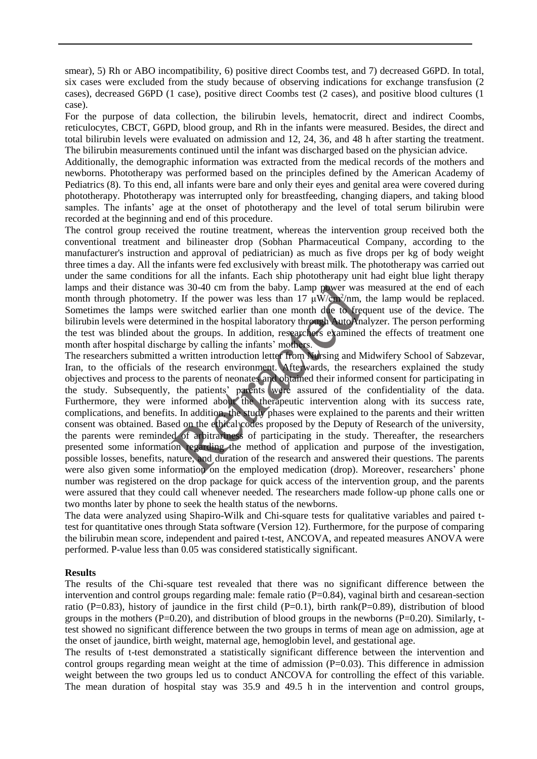smear), 5) Rh or ABO incompatibility, 6) positive direct Coombs test, and 7) decreased G6PD. In total, six cases were excluded from the study because of observing indications for exchange transfusion (2 cases), decreased G6PD (1 case), positive direct Coombs test (2 cases), and positive blood cultures (1 case).

For the purpose of data collection, the bilirubin levels, hematocrit, direct and indirect Coombs, reticulocytes, CBCT, G6PD, blood group, and Rh in the infants were measured. Besides, the direct and total bilirubin levels were evaluated on admission and 12, 24, 36, and 48 h after starting the treatment. The bilirubin measurements continued until the infant was discharged based on the physician advice.

Additionally, the demographic information was extracted from the medical records of the mothers and newborns. Phototherapy was performed based on the principles defined by the American Academy of Pediatrics (8). To this end, all infants were bare and only their eyes and genital area were covered during phototherapy. Phototherapy was interrupted only for breastfeeding, changing diapers, and taking blood samples. The infants' age at the onset of phototherapy and the level of total serum bilirubin were recorded at the beginning and end of this procedure.

The control group received the routine treatment, whereas the intervention group received both the conventional treatment and bilineaster drop (Sobhan Pharmaceutical Company, according to the manufacturer's instruction and approval of pediatrician) as much as five drops per kg of body weight three times a day. All the infants were fed exclusively with breast milk. The phototherapy was carried out under the same conditions for all the infants. Each ship phototherapy unit had eight blue light therapy lamps and their distance was 30-40 cm from the baby. Lamp power was measured at the end of each month through photometry. If the power was less than 17  $\mu$ W/cm<sup>2</sup>/nm, the lamp would be replaced. Sometimes the lamps were switched earlier than one month due to frequent use of the device. The bilirubin levels were determined in the hospital laboratory through AutoAnalyzer. The person performing the test was blinded about the groups. In addition, researchers examined the effects of treatment one month after hospital discharge by calling the infants' mothers.

The researchers submitted a written introduction letter from Nursing and Midwifery School of Sabzevar, Iran, to the officials of the research environment. Afterwards, the researchers explained the study objectives and process to the parents of neonates and obtained their informed consent for participating in the study. Subsequently, the patients' parents were assured of the confidentiality of the data. Furthermore, they were informed about the therapeutic intervention along with its success rate, complications, and benefits. In addition, the study phases were explained to the parents and their written consent was obtained. Based on the ethical codes proposed by the Deputy of Research of the university, the parents were reminded of arbitrariness of participating in the study. Thereafter, the researchers presented some information regarding the method of application and purpose of the investigation, possible losses, benefits, nature, and duration of the research and answered their questions. The parents were also given some information on the employed medication (drop). Moreover, researchers' phone number was registered on the drop package for quick access of the intervention group, and the parents were assured that they could call whenever needed. The researchers made follow-up phone calls one or two months later by phone to seek the health status of the newborns.

The data were analyzed using Shapiro-Wilk and Chi-square tests for qualitative variables and paired ttest for quantitative ones through Stata software (Version 12). Furthermore, for the purpose of comparing the bilirubin mean score, independent and paired t-test, ANCOVA, and repeated measures ANOVA were performed. P-value less than 0.05 was considered statistically significant.

#### **Results**

The results of the Chi-square test revealed that there was no significant difference between the intervention and control groups regarding male: female ratio  $(P=0.84)$ , vaginal birth and cesarean-section ratio (P=0.83), history of jaundice in the first child (P=0.1), birth rank(P=0.89), distribution of blood groups in the mothers  $(P=0.20)$ , and distribution of blood groups in the newborns  $(P=0.20)$ . Similarly, ttest showed no significant difference between the two groups in terms of mean age on admission, age at the onset of jaundice, birth weight, maternal age, hemoglobin level, and gestational age.

The results of t-test demonstrated a statistically significant difference between the intervention and control groups regarding mean weight at the time of admission  $(P=0.03)$ . This difference in admission weight between the two groups led us to conduct ANCOVA for controlling the effect of this variable. The mean duration of hospital stay was 35.9 and 49.5 h in the intervention and control groups,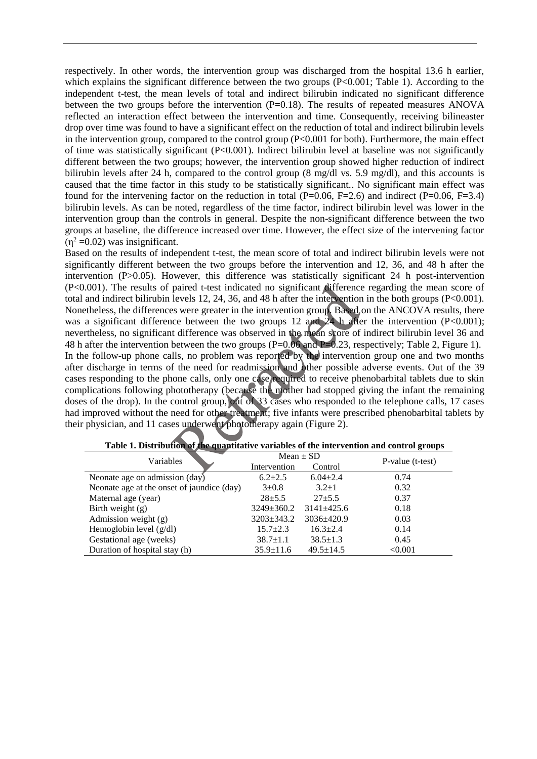respectively. In other words, the intervention group was discharged from the hospital 13.6 h earlier, which explains the significant difference between the two groups  $(P< 0.001$ ; Table 1). According to the independent t-test, the mean levels of total and indirect bilirubin indicated no significant difference between the two groups before the intervention  $(P=0.18)$ . The results of repeated measures ANOVA reflected an interaction effect between the intervention and time. Consequently, receiving bilineaster drop over time was found to have a significant effect on the reduction of total and indirect bilirubin levels in the intervention group, compared to the control group (P<0.001 for both). Furthermore, the main effect of time was statistically significant (P<0.001). Indirect bilirubin level at baseline was not significantly different between the two groups; however, the intervention group showed higher reduction of indirect bilirubin levels after 24 h, compared to the control group (8 mg/dl vs. 5.9 mg/dl), and this accounts is caused that the time factor in this study to be statistically significant.. No significant main effect was found for the intervening factor on the reduction in total (P=0.06, F=2.6) and indirect (P=0.06, F=3.4) bilirubin levels. As can be noted, regardless of the time factor, indirect bilirubin level was lower in the intervention group than the controls in general. Despite the non-significant difference between the two groups at baseline, the difference increased over time. However, the effect size of the intervening factor  $(n^2 = 0.02)$  was insignificant.

Based on the results of independent t-test, the mean score of total and indirect bilirubin levels were not significantly different between the two groups before the intervention and 12, 36, and 48 h after the intervention (P>0.05). However, this difference was statistically significant 24 h post-intervention (P<0.001). The results of paired t-test indicated no significant difference regarding the mean score of total and indirect bilirubin levels 12, 24, 36, and 48 h after the intervention in the both groups (P<0.001). Nonetheless, the differences were greater in the intervention group. Based on the ANCOVA results, there was a significant difference between the two groups 12 and  $24 \text{ h}$  after the intervention (P<0.001); nevertheless, no significant difference was observed in the mean score of indirect bilirubin level 36 and 48 h after the intervention between the two groups (P=0.06 and P=0.23, respectively; Table 2, Figure 1). In the follow-up phone calls, no problem was reported by the intervention group one and two months after discharge in terms of the need for readmission and other possible adverse events. Out of the 39 cases responding to the phone calls, only one case required to receive phenobarbital tablets due to skin complications following phototherapy (because the mother had stopped giving the infant the remaining doses of the drop). In the control group, out of 33 cases who responded to the telephone calls, 17 cases had improved without the need for other treatment; five infants were prescribed phenobarbital tablets by their physician, and 11 cases underwent phototherapy again (Figure 2).

| Variables                                  | Mean $\pm$ SD           |                  | P-value (t-test) |  |
|--------------------------------------------|-------------------------|------------------|------------------|--|
|                                            | Intervention<br>Control |                  |                  |  |
| Neonate age on admission (day)             | $6.2 \pm 2.5$           | $6.04 \pm 2.4$   | 0.74             |  |
| Neonate age at the onset of jaundice (day) | $3 \pm 0.8$             | $3.2 \pm 1$      | 0.32             |  |
| Maternal age (year)                        | $28 + 5.5$              | $27 + 5.5$       | 0.37             |  |
| Birth weight $(g)$                         | $3249 \pm 360.2$        | $3141 \pm 425.6$ | 0.18             |  |
| Admission weight $(g)$                     | $3203 \pm 343.2$        | $3036 \pm 420.9$ | 0.03             |  |
| Hemoglobin level $(g/dl)$                  | $15.7 \pm 2.3$          | $16.3 \pm 2.4$   | 0.14             |  |
| Gestational age (weeks)                    | $38.7 \pm 1.1$          | $38.5 \pm 1.3$   | 0.45             |  |
| Duration of hospital stay (h)              | $35.9 \pm 11.6$         | $49.5 \pm 14.5$  | < 0.001          |  |

|  | Table 1. Distribution of the quantitative variables of the intervention and control groups |  |
|--|--------------------------------------------------------------------------------------------|--|
|  |                                                                                            |  |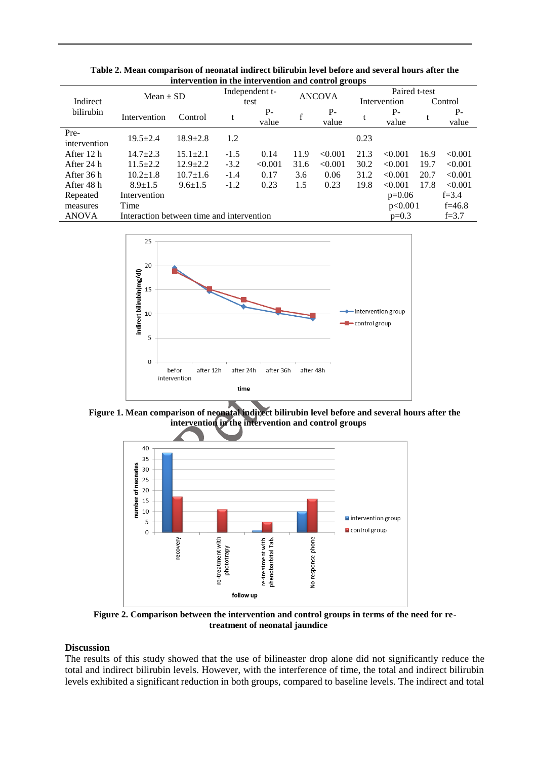| mici vention in the mici vention and control groups |                                           |                |                |         |               |         |               |          |         |           |
|-----------------------------------------------------|-------------------------------------------|----------------|----------------|---------|---------------|---------|---------------|----------|---------|-----------|
| Indirect                                            | Mean $\pm$ SD                             |                | Independent t- |         | <b>ANCOVA</b> |         | Paired t-test |          |         |           |
|                                                     |                                           |                | test           |         |               |         | Intervention  |          | Control |           |
| bilirubin                                           | Intervention                              |                |                | $P-$    |               | P-      |               | $P-$     |         | P-        |
|                                                     |                                           | Control        |                | value   |               | value   | t             | value    | t       | value     |
| Pre-                                                | $19.5 + 2.4$                              | $18.9 \pm 2.8$ | 1.2            |         |               |         |               |          |         |           |
| intervention                                        |                                           |                |                |         |               |         | 0.23          |          |         |           |
| After 12 h                                          | $14.7 + 2.3$                              | $15.1 \pm 2.1$ | $-1.5$         | 0.14    | 11.9          | < 0.001 | 21.3          | < 0.001  | 16.9    | < 0.001   |
| After 24 h                                          | $11.5 \pm 2.2$                            | $12.9 \pm 2.2$ | $-3.2$         | < 0.001 | 31.6          | < 0.001 | 30.2          | < 0.001  | 19.7    | < 0.001   |
| After 36 h                                          | $10.2 \pm 1.8$                            | $10.7 + 1.6$   | $-1.4$         | 0.17    | 3.6           | 0.06    | 31.2          | < 0.001  | 20.7    | < 0.001   |
| After 48 h                                          | $8.9 \pm 1.5$                             | $9.6 \pm 1.5$  | $-1.2$         | 0.23    | 1.5           | 0.23    | 19.8          | < 0.001  | 17.8    | < 0.001   |
| Repeated                                            | Intervention                              |                |                |         |               |         |               | $p=0.06$ |         | $f = 3.4$ |
| measures                                            | Time                                      |                |                |         |               |         |               | p<0.001  |         | $f=46.8$  |
| <b>ANOVA</b>                                        | Interaction between time and intervention |                |                |         |               |         |               | $p=0.3$  |         | $f = 3.7$ |

**Table 2. Mean comparison of neonatal indirect bilirubin level before and several hours after the intervention in the intervention and control groups**



**Figure 1. Mean comparison of neonatal indirect bilirubin level before and several hours after the intervention in the intervention and control groups**



**Figure 2. Comparison between the intervention and control groups in terms of the need for retreatment of neonatal jaundice**

#### **Discussion**

The results of this study showed that the use of bilineaster drop alone did not significantly reduce the total and indirect bilirubin levels. However, with the interference of time, the total and indirect bilirubin levels exhibited a significant reduction in both groups, compared to baseline levels. The indirect and total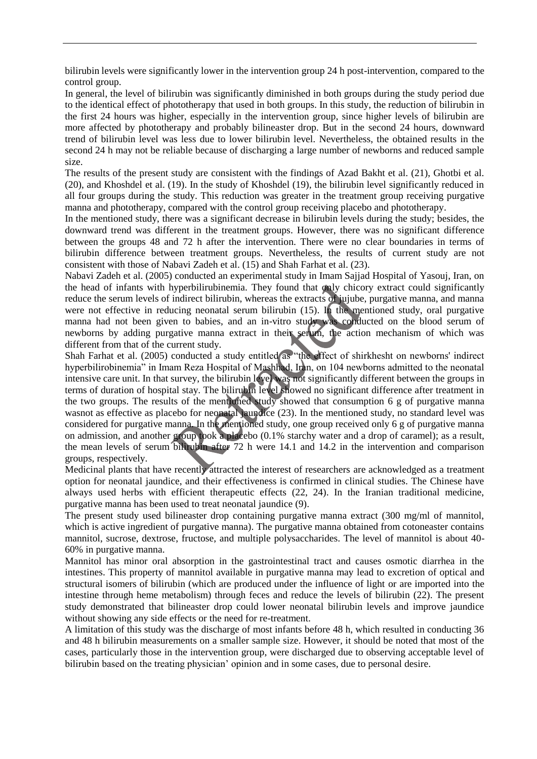bilirubin levels were significantly lower in the intervention group 24 h post-intervention, compared to the control group.

In general, the level of bilirubin was significantly diminished in both groups during the study period due to the identical effect of phototherapy that used in both groups. In this study, the reduction of bilirubin in the first 24 hours was higher, especially in the intervention group, since higher levels of bilirubin are more affected by phototherapy and probably bilineaster drop. But in the second 24 hours, downward trend of bilirubin level was less due to lower bilirubin level. Nevertheless, the obtained results in the second 24 h may not be reliable because of discharging a large number of newborns and reduced sample size.

The results of the present study are consistent with the findings of Azad Bakht et al. (21), Ghotbi et al. (20), and Khoshdel et al. (19). In the study of Khoshdel (19), the bilirubin level significantly reduced in all four groups during the study. This reduction was greater in the treatment group receiving purgative manna and phototherapy, compared with the control group receiving placebo and phototherapy.

In the mentioned study, there was a significant decrease in bilirubin levels during the study; besides, the downward trend was different in the treatment groups. However, there was no significant difference between the groups 48 and 72 h after the intervention. There were no clear boundaries in terms of bilirubin difference between treatment groups. Nevertheless, the results of current study are not consistent with those of Nabavi Zadeh et al. (15) and Shah Farhat et al. (23).

Nabavi Zadeh et al. (2005) conducted an experimental study in Imam Sajjad Hospital of Yasouj, Iran, on the head of infants with hyperbilirubinemia. They found that only chicory extract could significantly reduce the serum levels of indirect bilirubin, whereas the extracts of jujube, purgative manna, and manna were not effective in reducing neonatal serum bilirubin (15). In the mentioned study, oral purgative manna had not been given to babies, and an in-vitro study was conducted on the blood serum of newborns by adding purgative manna extract in their serum, the action mechanism of which was different from that of the current study.

Shah Farhat et al. (2005) conducted a study entitled as "the effect of shirkhesht on newborns' indirect hyperbilirobinemia" in Imam Reza Hospital of Mashhad, Iran, on 104 newborns admitted to the neonatal intensive care unit. In that survey, the bilirubin level was not significantly different between the groups in terms of duration of hospital stay. The bilirubin level showed no significant difference after treatment in the two groups. The results of the mentioned study showed that consumption 6 g of purgative manna wasnot as effective as placebo for neonatal jaundice (23). In the mentioned study, no standard level was considered for purgative manna. In the mentioned study, one group received only 6 g of purgative manna on admission, and another group took a placebo (0.1% starchy water and a drop of caramel); as a result, the mean levels of serum bilirubin after 72 h were 14.1 and 14.2 in the intervention and comparison groups, respectively.

Medicinal plants that have recently attracted the interest of researchers are acknowledged as a treatment option for neonatal jaundice, and their effectiveness is confirmed in clinical studies. The Chinese have always used herbs with efficient therapeutic effects (22, 24). In the Iranian traditional medicine, purgative manna has been used to treat neonatal jaundice (9).

The present study used bilineaster drop containing purgative manna extract (300 mg/ml of mannitol, which is active ingredient of purgative manna). The purgative manna obtained from cotoneaster contains mannitol, sucrose, dextrose, fructose, and multiple polysaccharides. The level of mannitol is about 40- 60% in purgative manna.

Mannitol has minor oral absorption in the gastrointestinal tract and causes osmotic diarrhea in the intestines. This property of mannitol available in purgative manna may lead to excretion of optical and structural isomers of bilirubin (which are produced under the influence of light or are imported into the intestine through heme metabolism) through feces and reduce the levels of bilirubin (22). The present study demonstrated that bilineaster drop could lower neonatal bilirubin levels and improve jaundice without showing any side effects or the need for re-treatment.

A limitation of this study was the discharge of most infants before 48 h, which resulted in conducting 36 and 48 h bilirubin measurements on a smaller sample size. However, it should be noted that most of the cases, particularly those in the intervention group, were discharged due to observing acceptable level of bilirubin based on the treating physician' opinion and in some cases, due to personal desire.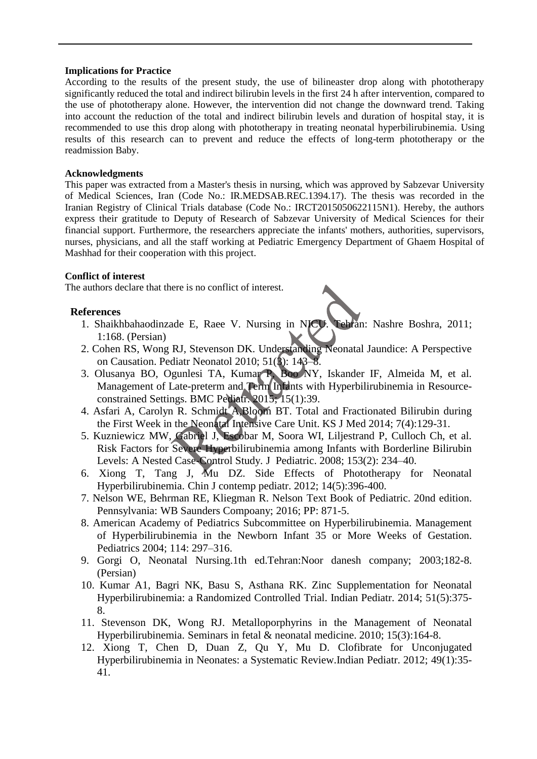#### **Implications for Practice**

According to the results of the present study, the use of bilineaster drop along with phototherapy significantly reduced the total and indirect bilirubin levels in the first 24 h after intervention, compared to the use of phototherapy alone. However, the intervention did not change the downward trend. Taking into account the reduction of the total and indirect bilirubin levels and duration of hospital stay, it is recommended to use this drop along with phototherapy in treating neonatal hyperbilirubinemia. Using results of this research can to prevent and reduce the effects of long-term phototherapy or the readmission Baby.

#### **Acknowledgments**

This paper was extracted from a Master's thesis in nursing, which was approved by Sabzevar University of Medical Sciences, Iran (Code No.: IR.MEDSAB.REC.1394.17). The thesis was recorded in the Iranian Registry of Clinical Trials database (Code No.: IRCT2015050622115N1). Hereby, the authors express their gratitude to Deputy of Research of Sabzevar University of Medical Sciences for their financial support. Furthermore, the researchers appreciate the infants' mothers, authorities, supervisors, nurses, physicians, and all the staff working at Pediatric Emergency Department of Ghaem Hospital of Mashhad for their cooperation with this project.

#### **Conflict of interest**

The authors declare that there is no conflict of interest.

#### **References**

- 1. Shaikhbahaodinzade E, Raee V. Nursing in NICU. Tehran: Nashre Boshra, 2011; 1:168. (Persian)
- 2. Cohen RS, Wong RJ, Stevenson DK. Understanding Neonatal Jaundice: A Perspective on Causation. Pediatr Neonatol 2010; 51(3): 143–8.
- 3. Olusanya BO, Ogunlesi TA, Kumar P, Boo NY, Iskander IF, Almeida M, et al. Management of Late-preterm and Term Infants with Hyperbilirubinemia in Resourceconstrained Settings. BMC Pediatr. 2015; 15(1):39.
- 4. Asfari A, Carolyn R. Schmidt A,Bloom BT. Total and Fractionated Bilirubin during the First Week in the Neonatal Intensive Care Unit. KS J Med 2014; 7(4):129-31.
- 5. Kuzniewicz MW, Gabriel J, Escobar M, Soora WI, Liljestrand P, Culloch Ch, et al. Risk Factors for Severe Hyperbilirubinemia among Infants with Borderline Bilirubin Levels: A Nested Case-Control Study. J Pediatric. 2008; 153(2): 234–40.
- 6. Xiong T, Tang J, Mu DZ. Side Effects of Phototherapy for Neonatal Hyperbilirubinemia. Chin J contemp pediatr. 2012; 14(5):396-400.
- 7. Nelson WE, Behrman RE, Kliegman R. Nelson Text Book of Pediatric. 20nd edition. Pennsylvania: WB Saunders Compoany; 2016; PP: 871-5.
- 8. American Academy of Pediatrics Subcommittee on Hyperbilirubinemia. Management of Hyperbilirubinemia in the Newborn Infant 35 or More Weeks of Gestation. Pediatrics 2004; 114: 297–316.
- 9. Gorgi O, Neonatal Nursing.1th ed.Tehran:Noor danesh company; 2003;182-8. (Persian)
- 10. Kumar A1, Bagri NK, Basu S, Asthana RK. Zinc Supplementation for Neonatal Hyperbilirubinemia: a Randomized Controlled Trial. Indian Pediatr. 2014; 51(5):375- 8.
- 11. Stevenson DK, Wong RJ. Metalloporphyrins in the Management of Neonatal Hyperbilirubinemia. Seminars in fetal & neonatal medicine. 2010; 15(3):164-8.
- 12. Xiong T, Chen D, Duan Z, Qu Y, Mu D. Clofibrate for Unconjugated Hyperbilirubinemia in Neonates: a Systematic Review.Indian Pediatr. 2012; 49(1):35- 41.